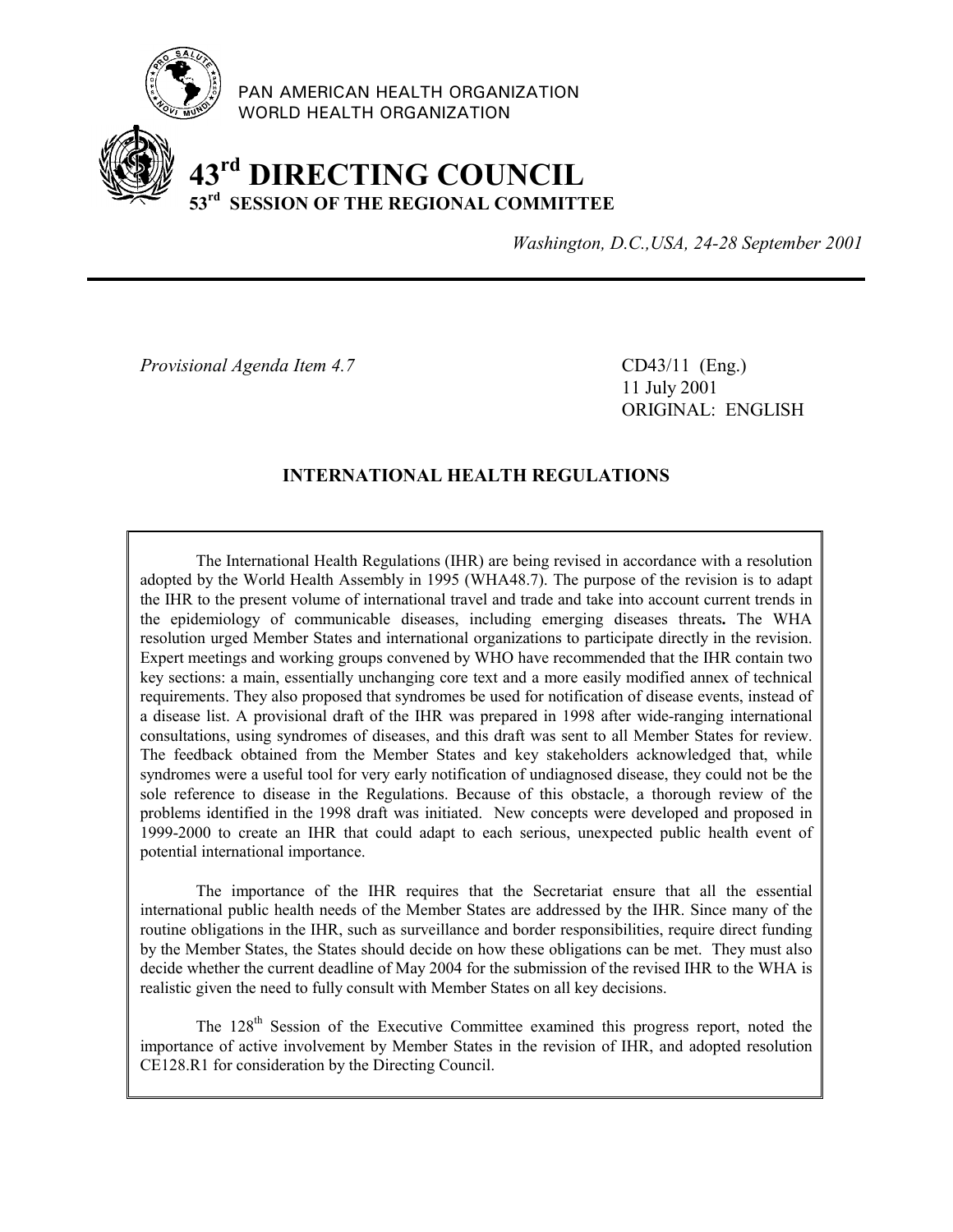

PAN AMERICAN HEALTH ORGANIZATION WORLD HEALTH ORGANIZATION

# **43rd DIRECTING COUNCIL 53rd SESSION OF THE REGIONAL COMMITTEE**

*Washington, D.C.,USA, 24-28 September 2001*

*Provisional Agenda Item 4.7* CD43/11 (Eng.)

11 July 2001 ORIGINAL: ENGLISH

# **INTERNATIONAL HEALTH REGULATIONS**

The International Health Regulations (IHR) are being revised in accordance with a resolution adopted by the World Health Assembly in 1995 (WHA48.7). The purpose of the revision is to adapt the IHR to the present volume of international travel and trade and take into account current trends in the epidemiology of communicable diseases, including emerging diseases threats**.** The WHA resolution urged Member States and international organizations to participate directly in the revision. Expert meetings and working groups convened by WHO have recommended that the IHR contain two key sections: a main, essentially unchanging core text and a more easily modified annex of technical requirements. They also proposed that syndromes be used for notification of disease events, instead of a disease list. A provisional draft of the IHR was prepared in 1998 after wide-ranging international consultations, using syndromes of diseases, and this draft was sent to all Member States for review. The feedback obtained from the Member States and key stakeholders acknowledged that, while syndromes were a useful tool for very early notification of undiagnosed disease, they could not be the sole reference to disease in the Regulations. Because of this obstacle, a thorough review of the problems identified in the 1998 draft was initiated. New concepts were developed and proposed in 1999-2000 to create an IHR that could adapt to each serious, unexpected public health event of potential international importance.

The importance of the IHR requires that the Secretariat ensure that all the essential international public health needs of the Member States are addressed by the IHR. Since many of the routine obligations in the IHR, such as surveillance and border responsibilities, require direct funding by the Member States, the States should decide on how these obligations can be met. They must also decide whether the current deadline of May 2004 for the submission of the revised IHR to the WHA is realistic given the need to fully consult with Member States on all key decisions.

The 128<sup>th</sup> Session of the Executive Committee examined this progress report, noted the importance of active involvement by Member States in the revision of IHR, and adopted resolution CE128.R1 for consideration by the Directing Council.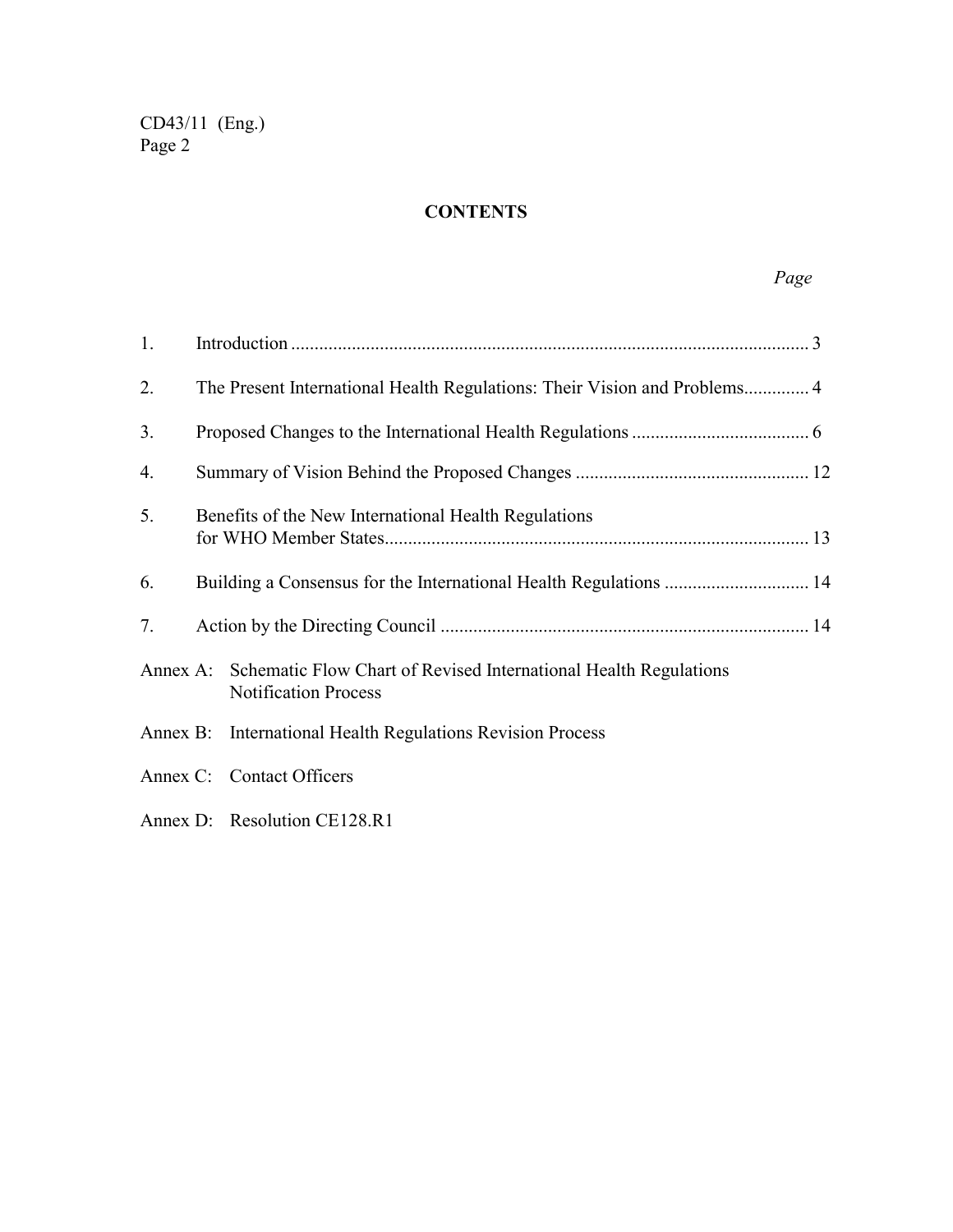# **CONTENTS**

| 1. |                                                      |                                                                                                          |  |
|----|------------------------------------------------------|----------------------------------------------------------------------------------------------------------|--|
| 2. |                                                      |                                                                                                          |  |
| 3. |                                                      |                                                                                                          |  |
| 4. |                                                      |                                                                                                          |  |
| 5. | Benefits of the New International Health Regulations |                                                                                                          |  |
| 6. |                                                      |                                                                                                          |  |
| 7. |                                                      |                                                                                                          |  |
|    |                                                      | Annex A: Schematic Flow Chart of Revised International Health Regulations<br><b>Notification Process</b> |  |
|    |                                                      | Annex B: International Health Regulations Revision Process                                               |  |
|    |                                                      | Annex C: Contact Officers                                                                                |  |
|    |                                                      | Annex D: Resolution CE128.R1                                                                             |  |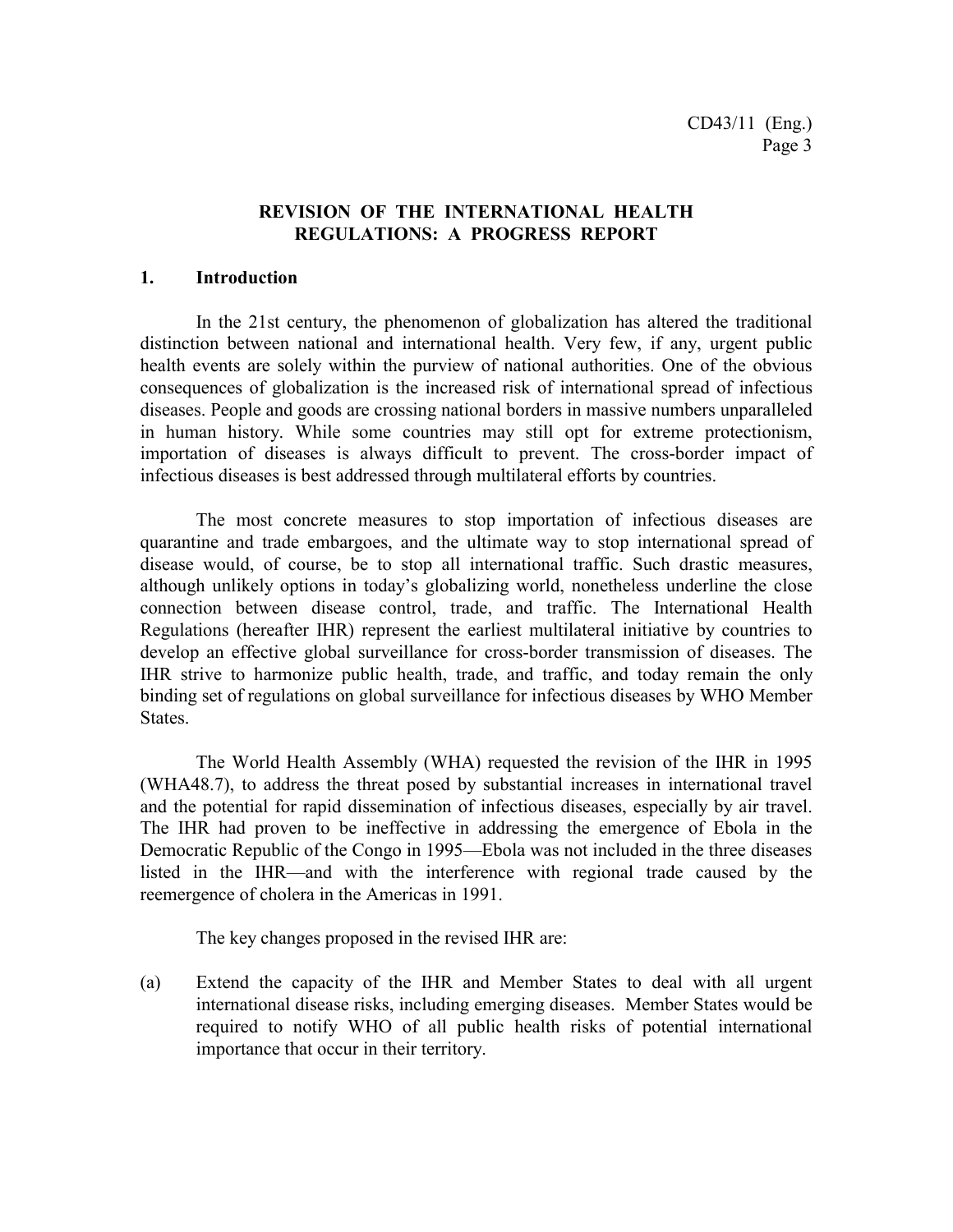# **REVISION OF THE INTERNATIONAL HEALTH REGULATIONS: A PROGRESS REPORT**

### **1. Introduction**

In the 21st century, the phenomenon of globalization has altered the traditional distinction between national and international health. Very few, if any, urgent public health events are solely within the purview of national authorities. One of the obvious consequences of globalization is the increased risk of international spread of infectious diseases. People and goods are crossing national borders in massive numbers unparalleled in human history. While some countries may still opt for extreme protectionism, importation of diseases is always difficult to prevent. The cross-border impact of infectious diseases is best addressed through multilateral efforts by countries.

The most concrete measures to stop importation of infectious diseases are quarantine and trade embargoes, and the ultimate way to stop international spread of disease would, of course, be to stop all international traffic. Such drastic measures, although unlikely options in today's globalizing world, nonetheless underline the close connection between disease control, trade, and traffic. The International Health Regulations (hereafter IHR) represent the earliest multilateral initiative by countries to develop an effective global surveillance for cross-border transmission of diseases. The IHR strive to harmonize public health, trade, and traffic, and today remain the only binding set of regulations on global surveillance for infectious diseases by WHO Member States.

The World Health Assembly (WHA) requested the revision of the IHR in 1995 (WHA48.7), to address the threat posed by substantial increases in international travel and the potential for rapid dissemination of infectious diseases, especially by air travel. The IHR had proven to be ineffective in addressing the emergence of Ebola in the Democratic Republic of the Congo in 1995—Ebola was not included in the three diseases listed in the IHR—and with the interference with regional trade caused by the reemergence of cholera in the Americas in 1991.

The key changes proposed in the revised IHR are:

(a) Extend the capacity of the IHR and Member States to deal with all urgent international disease risks, including emerging diseases. Member States would be required to notify WHO of all public health risks of potential international importance that occur in their territory.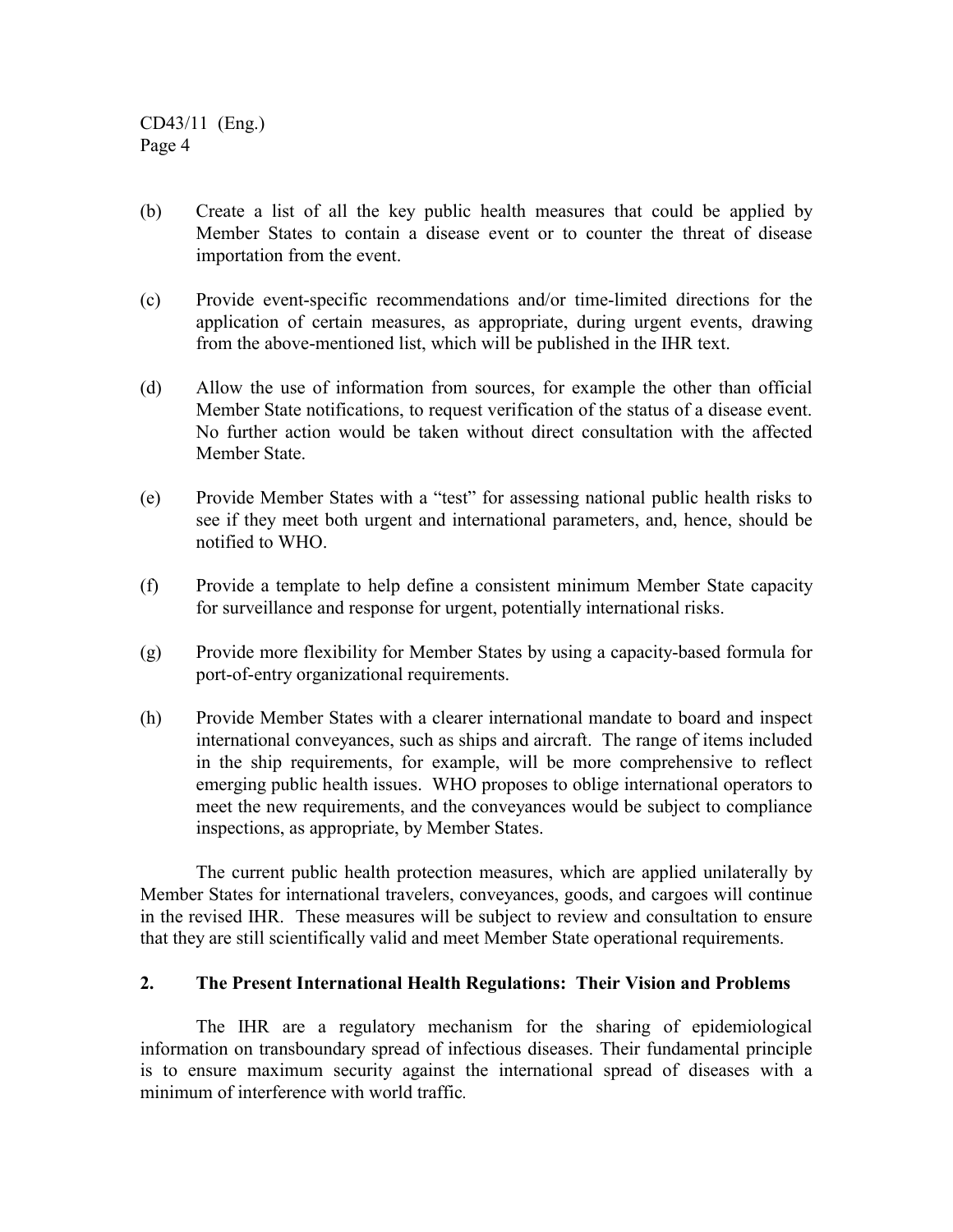- (b) Create a list of all the key public health measures that could be applied by Member States to contain a disease event or to counter the threat of disease importation from the event.
- (c) Provide event-specific recommendations and/or time-limited directions for the application of certain measures, as appropriate, during urgent events, drawing from the above-mentioned list, which will be published in the IHR text.
- (d) Allow the use of information from sources, for example the other than official Member State notifications, to request verification of the status of a disease event. No further action would be taken without direct consultation with the affected Member State.
- (e) Provide Member States with a "test" for assessing national public health risks to see if they meet both urgent and international parameters, and, hence, should be notified to WHO.
- (f) Provide a template to help define a consistent minimum Member State capacity for surveillance and response for urgent, potentially international risks.
- (g) Provide more flexibility for Member States by using a capacity-based formula for port-of-entry organizational requirements.
- (h) Provide Member States with a clearer international mandate to board and inspect international conveyances, such as ships and aircraft. The range of items included in the ship requirements, for example, will be more comprehensive to reflect emerging public health issues. WHO proposes to oblige international operators to meet the new requirements, and the conveyances would be subject to compliance inspections, as appropriate, by Member States.

The current public health protection measures, which are applied unilaterally by Member States for international travelers, conveyances, goods, and cargoes will continue in the revised IHR. These measures will be subject to review and consultation to ensure that they are still scientifically valid and meet Member State operational requirements.

### **2. The Present International Health Regulations: Their Vision and Problems**

The IHR are a regulatory mechanism for the sharing of epidemiological information on transboundary spread of infectious diseases. Their fundamental principle is to ensure maximum security against the international spread of diseases with a minimum of interference with world traffic*.*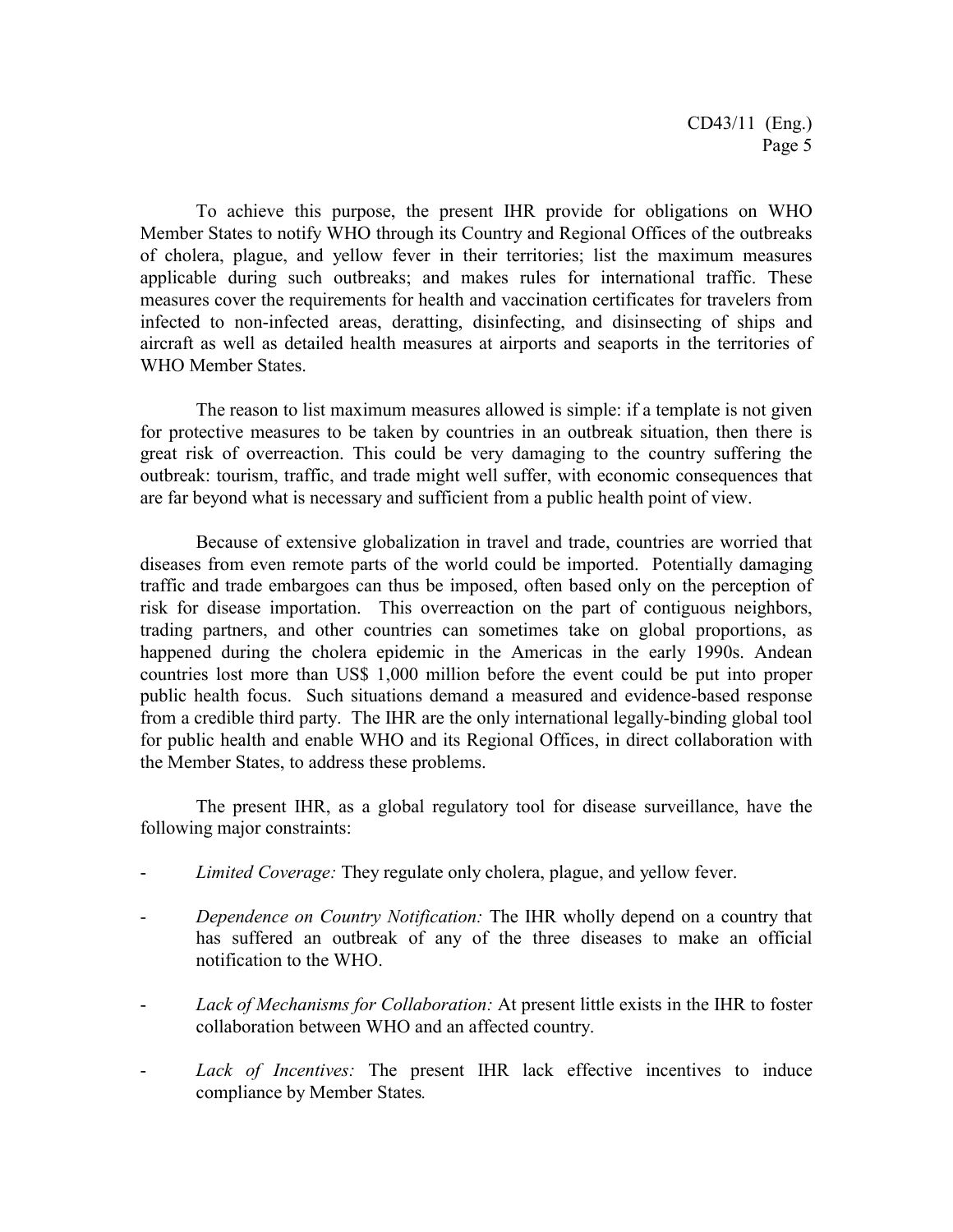To achieve this purpose, the present IHR provide for obligations on WHO Member States to notify WHO through its Country and Regional Offices of the outbreaks of cholera, plague, and yellow fever in their territories; list the maximum measures applicable during such outbreaks; and makes rules for international traffic. These measures cover the requirements for health and vaccination certificates for travelers from infected to non-infected areas, deratting, disinfecting, and disinsecting of ships and aircraft as well as detailed health measures at airports and seaports in the territories of WHO Member States.

The reason to list maximum measures allowed is simple: if a template is not given for protective measures to be taken by countries in an outbreak situation, then there is great risk of overreaction. This could be very damaging to the country suffering the outbreak: tourism, traffic, and trade might well suffer, with economic consequences that are far beyond what is necessary and sufficient from a public health point of view.

Because of extensive globalization in travel and trade, countries are worried that diseases from even remote parts of the world could be imported. Potentially damaging traffic and trade embargoes can thus be imposed, often based only on the perception of risk for disease importation. This overreaction on the part of contiguous neighbors, trading partners, and other countries can sometimes take on global proportions, as happened during the cholera epidemic in the Americas in the early 1990s. Andean countries lost more than US\$ 1,000 million before the event could be put into proper public health focus. Such situations demand a measured and evidence-based response from a credible third party. The IHR are the only international legally-binding global tool for public health and enable WHO and its Regional Offices, in direct collaboration with the Member States, to address these problems.

The present IHR, as a global regulatory tool for disease surveillance, have the following major constraints:

- Limited Coverage: They regulate only cholera, plague, and yellow fever.
- *Dependence on Country Notification:* The IHR wholly depend on a country that has suffered an outbreak of any of the three diseases to make an official notification to the WHO.
- *Lack of Mechanisms for Collaboration:* At present little exists in the IHR to foster collaboration between WHO and an affected country.
- *Lack of Incentives:* The present IHR lack effective incentives to induce compliance by Member States*.*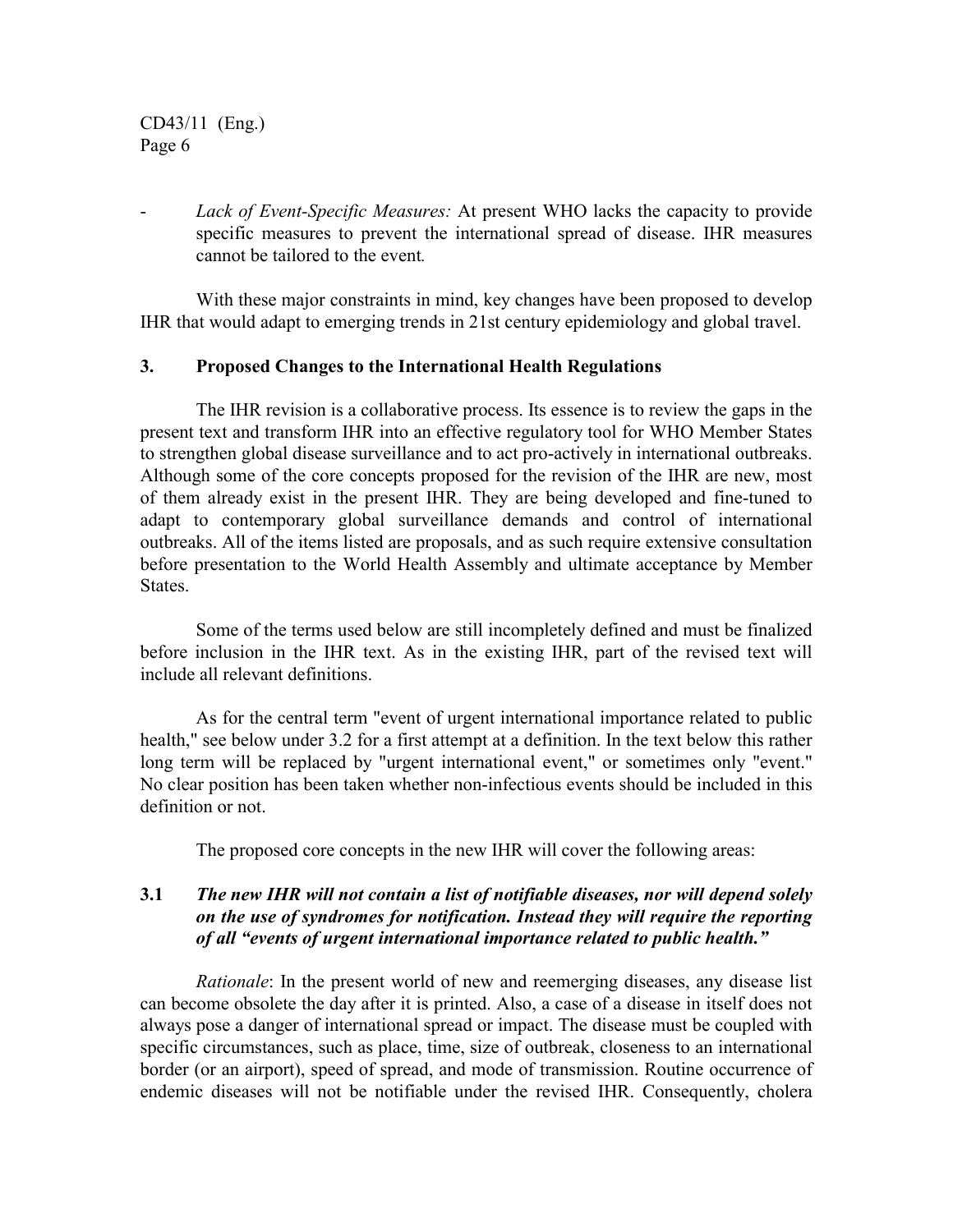- *Lack of Event-Specific Measures:* At present WHO lacks the capacity to provide specific measures to prevent the international spread of disease. IHR measures cannot be tailored to the event*.*

With these major constraints in mind, key changes have been proposed to develop IHR that would adapt to emerging trends in 21st century epidemiology and global travel.

### **3. Proposed Changes to the International Health Regulations**

The IHR revision is a collaborative process. Its essence is to review the gaps in the present text and transform IHR into an effective regulatory tool for WHO Member States to strengthen global disease surveillance and to act pro-actively in international outbreaks. Although some of the core concepts proposed for the revision of the IHR are new, most of them already exist in the present IHR. They are being developed and fine-tuned to adapt to contemporary global surveillance demands and control of international outbreaks. All of the items listed are proposals, and as such require extensive consultation before presentation to the World Health Assembly and ultimate acceptance by Member States.

Some of the terms used below are still incompletely defined and must be finalized before inclusion in the IHR text. As in the existing IHR, part of the revised text will include all relevant definitions.

As for the central term "event of urgent international importance related to public health," see below under 3.2 for a first attempt at a definition. In the text below this rather long term will be replaced by "urgent international event," or sometimes only "event." No clear position has been taken whether non-infectious events should be included in this definition or not.

The proposed core concepts in the new IHR will cover the following areas:

# **3.1** *The new IHR will not contain a list of notifiable diseases, nor will depend solely on the use of syndromes for notification. Instead they will require the reporting of all "events of urgent international importance related to public health."*

*Rationale*: In the present world of new and reemerging diseases, any disease list can become obsolete the day after it is printed. Also, a case of a disease in itself does not always pose a danger of international spread or impact. The disease must be coupled with specific circumstances, such as place, time, size of outbreak, closeness to an international border (or an airport), speed of spread, and mode of transmission. Routine occurrence of endemic diseases will not be notifiable under the revised IHR. Consequently, cholera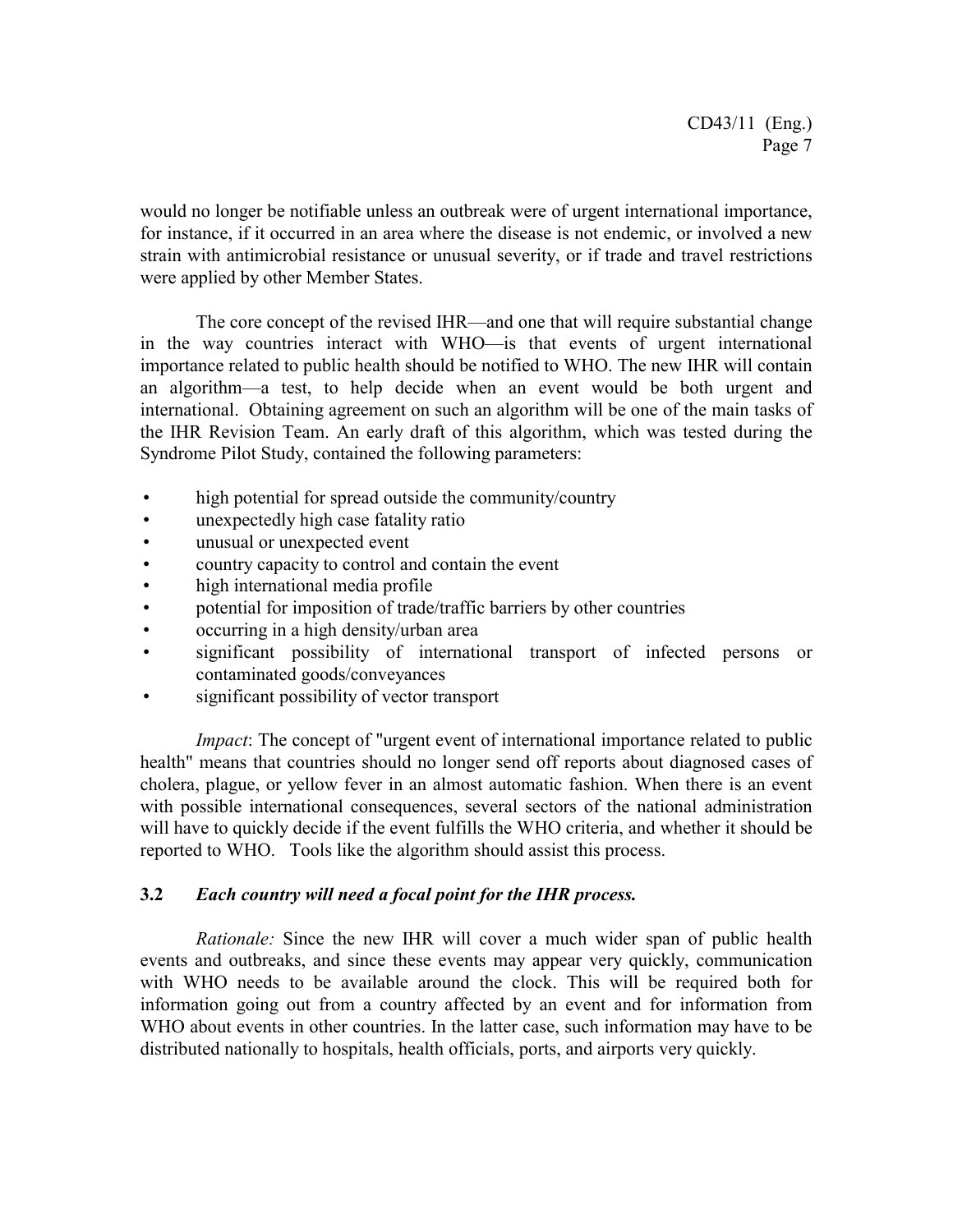would no longer be notifiable unless an outbreak were of urgent international importance, for instance, if it occurred in an area where the disease is not endemic, or involved a new strain with antimicrobial resistance or unusual severity, or if trade and travel restrictions were applied by other Member States.

The core concept of the revised IHR—and one that will require substantial change in the way countries interact with WHO—is that events of urgent international importance related to public health should be notified to WHO. The new IHR will contain an algorithm—a test, to help decide when an event would be both urgent and international. Obtaining agreement on such an algorithm will be one of the main tasks of the IHR Revision Team. An early draft of this algorithm, which was tested during the Syndrome Pilot Study, contained the following parameters:

- high potential for spread outside the community/country
- unexpectedly high case fatality ratio
- unusual or unexpected event
- country capacity to control and contain the event
- high international media profile
- potential for imposition of trade/traffic barriers by other countries
- occurring in a high density/urban area
- significant possibility of international transport of infected persons or contaminated goods/conveyances
- significant possibility of vector transport

*Impact*: The concept of "urgent event of international importance related to public health" means that countries should no longer send off reports about diagnosed cases of cholera, plague, or yellow fever in an almost automatic fashion. When there is an event with possible international consequences, several sectors of the national administration will have to quickly decide if the event fulfills the WHO criteria, and whether it should be reported to WHO. Tools like the algorithm should assist this process.

# **3.2** *Each country will need a focal point for the IHR process.*

*Rationale:* Since the new IHR will cover a much wider span of public health events and outbreaks, and since these events may appear very quickly, communication with WHO needs to be available around the clock. This will be required both for information going out from a country affected by an event and for information from WHO about events in other countries. In the latter case, such information may have to be distributed nationally to hospitals, health officials, ports, and airports very quickly.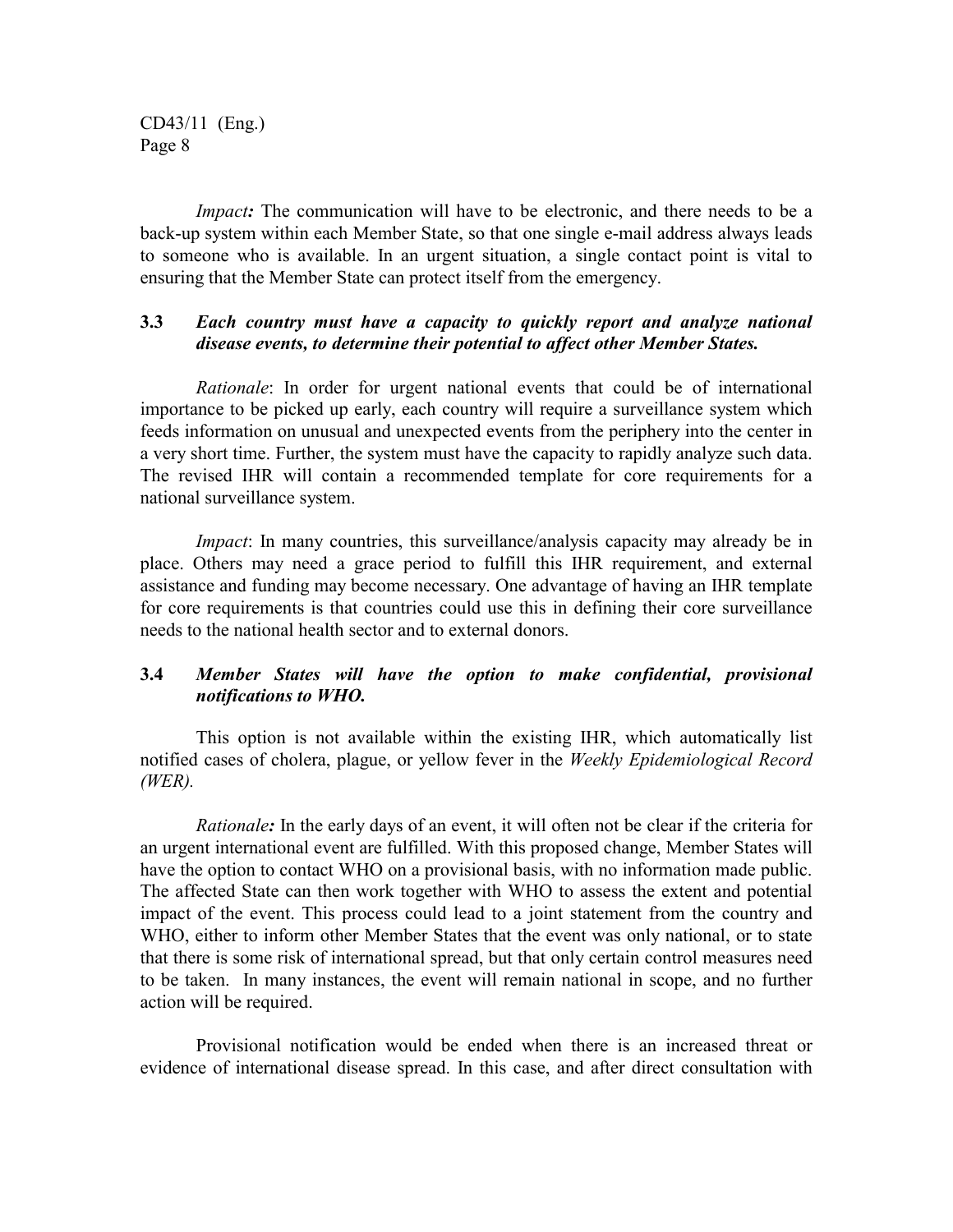*Impact*: The communication will have to be electronic, and there needs to be a back-up system within each Member State, so that one single e-mail address always leads to someone who is available. In an urgent situation, a single contact point is vital to ensuring that the Member State can protect itself from the emergency.

# **3.3** *Each country must have a capacity to quickly report and analyze national disease events, to determine their potential to affect other Member States.*

*Rationale*: In order for urgent national events that could be of international importance to be picked up early, each country will require a surveillance system which feeds information on unusual and unexpected events from the periphery into the center in a very short time. Further, the system must have the capacity to rapidly analyze such data. The revised IHR will contain a recommended template for core requirements for a national surveillance system.

*Impact*: In many countries, this surveillance/analysis capacity may already be in place. Others may need a grace period to fulfill this IHR requirement, and external assistance and funding may become necessary. One advantage of having an IHR template for core requirements is that countries could use this in defining their core surveillance needs to the national health sector and to external donors.

# **3.4** *Member States will have the option to make confidential, provisional notifications to WHO.*

This option is not available within the existing IHR, which automatically list notified cases of cholera, plague, or yellow fever in the *Weekly Epidemiological Record (WER).*

*Rationale:* In the early days of an event, it will often not be clear if the criteria for an urgent international event are fulfilled. With this proposed change, Member States will have the option to contact WHO on a provisional basis, with no information made public. The affected State can then work together with WHO to assess the extent and potential impact of the event. This process could lead to a joint statement from the country and WHO, either to inform other Member States that the event was only national, or to state that there is some risk of international spread, but that only certain control measures need to be taken. In many instances, the event will remain national in scope, and no further action will be required.

Provisional notification would be ended when there is an increased threat or evidence of international disease spread. In this case, and after direct consultation with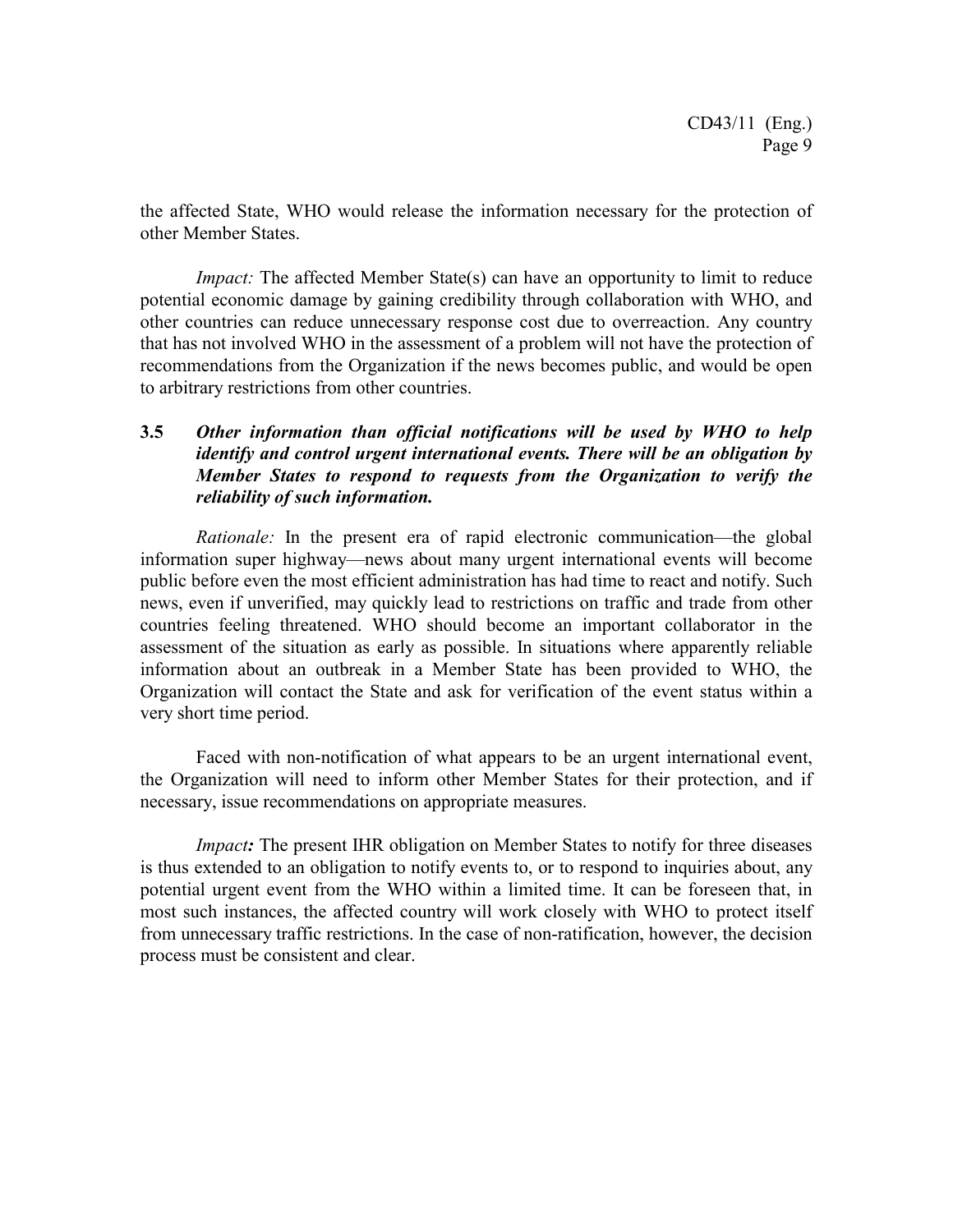the affected State, WHO would release the information necessary for the protection of other Member States.

*Impact:* The affected Member State(s) can have an opportunity to limit to reduce potential economic damage by gaining credibility through collaboration with WHO, and other countries can reduce unnecessary response cost due to overreaction. Any country that has not involved WHO in the assessment of a problem will not have the protection of recommendations from the Organization if the news becomes public, and would be open to arbitrary restrictions from other countries.

# **3.5** *Other information than official notifications will be used by WHO to help identify and control urgent international events. There will be an obligation by Member States to respond to requests from the Organization to verify the reliability of such information.*

*Rationale:* In the present era of rapid electronic communication—the global information super highway—news about many urgent international events will become public before even the most efficient administration has had time to react and notify. Such news, even if unverified, may quickly lead to restrictions on traffic and trade from other countries feeling threatened. WHO should become an important collaborator in the assessment of the situation as early as possible. In situations where apparently reliable information about an outbreak in a Member State has been provided to WHO, the Organization will contact the State and ask for verification of the event status within a very short time period.

Faced with non-notification of what appears to be an urgent international event, the Organization will need to inform other Member States for their protection, and if necessary, issue recommendations on appropriate measures.

*Impact*: The present IHR obligation on Member States to notify for three diseases is thus extended to an obligation to notify events to, or to respond to inquiries about, any potential urgent event from the WHO within a limited time. It can be foreseen that, in most such instances, the affected country will work closely with WHO to protect itself from unnecessary traffic restrictions. In the case of non-ratification, however, the decision process must be consistent and clear.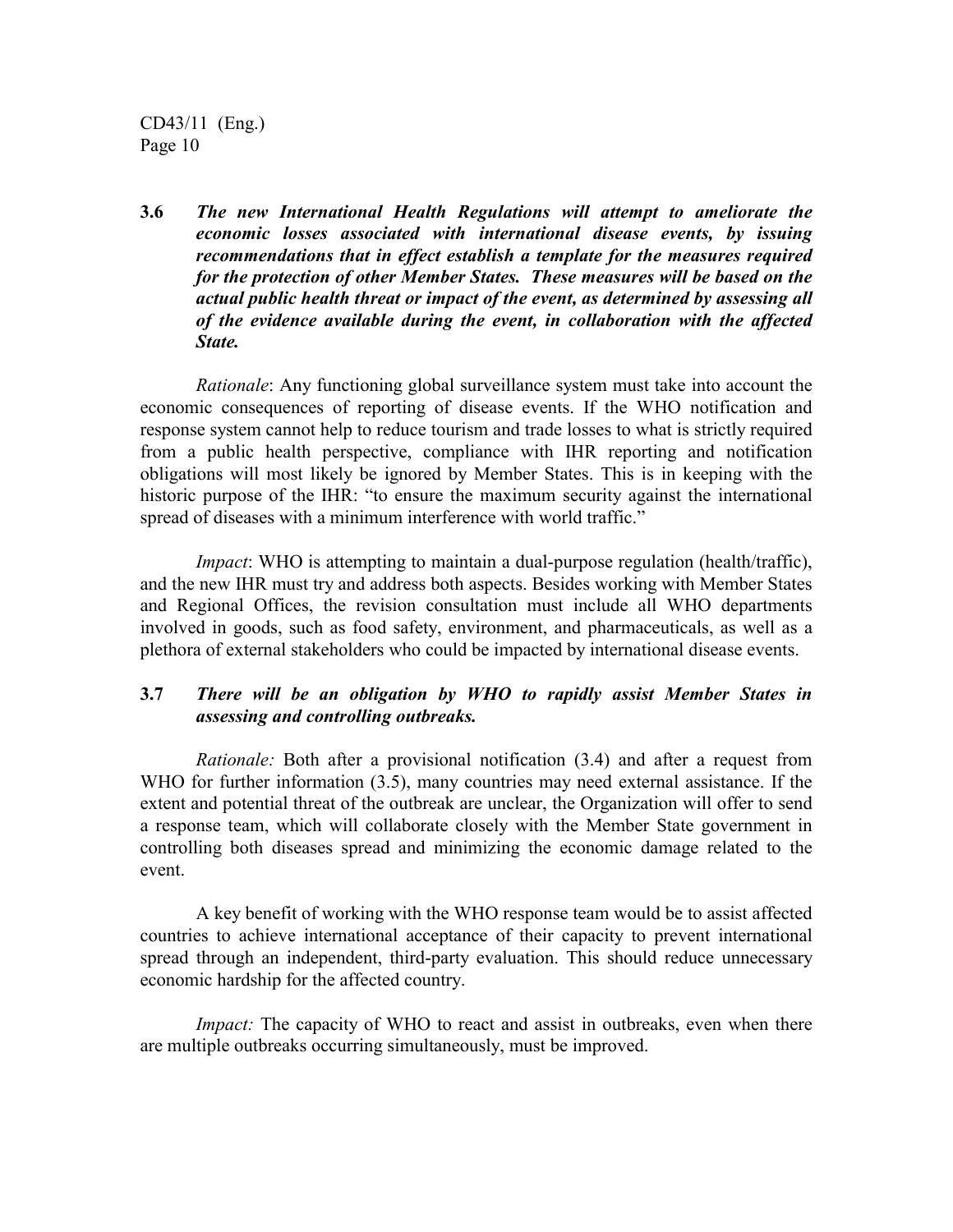**3.6** *The new International Health Regulations will attempt to ameliorate the economic losses associated with international disease events, by issuing recommendations that in effect establish a template for the measures required for the protection of other Member States. These measures will be based on the actual public health threat or impact of the event, as determined by assessing all of the evidence available during the event, in collaboration with the affected State.*

*Rationale*: Any functioning global surveillance system must take into account the economic consequences of reporting of disease events. If the WHO notification and response system cannot help to reduce tourism and trade losses to what is strictly required from a public health perspective, compliance with IHR reporting and notification obligations will most likely be ignored by Member States. This is in keeping with the historic purpose of the IHR: "to ensure the maximum security against the international spread of diseases with a minimum interference with world traffic."

*Impact*: WHO is attempting to maintain a dual-purpose regulation (health/traffic), and the new IHR must try and address both aspects. Besides working with Member States and Regional Offices, the revision consultation must include all WHO departments involved in goods, such as food safety, environment, and pharmaceuticals, as well as a plethora of external stakeholders who could be impacted by international disease events.

# **3.7** *There will be an obligation by WHO to rapidly assist Member States in assessing and controlling outbreaks.*

*Rationale:* Both after a provisional notification (3.4) and after a request from WHO for further information (3.5), many countries may need external assistance. If the extent and potential threat of the outbreak are unclear, the Organization will offer to send a response team, which will collaborate closely with the Member State government in controlling both diseases spread and minimizing the economic damage related to the event.

A key benefit of working with the WHO response team would be to assist affected countries to achieve international acceptance of their capacity to prevent international spread through an independent, third-party evaluation. This should reduce unnecessary economic hardship for the affected country.

*Impact:* The capacity of WHO to react and assist in outbreaks, even when there are multiple outbreaks occurring simultaneously, must be improved.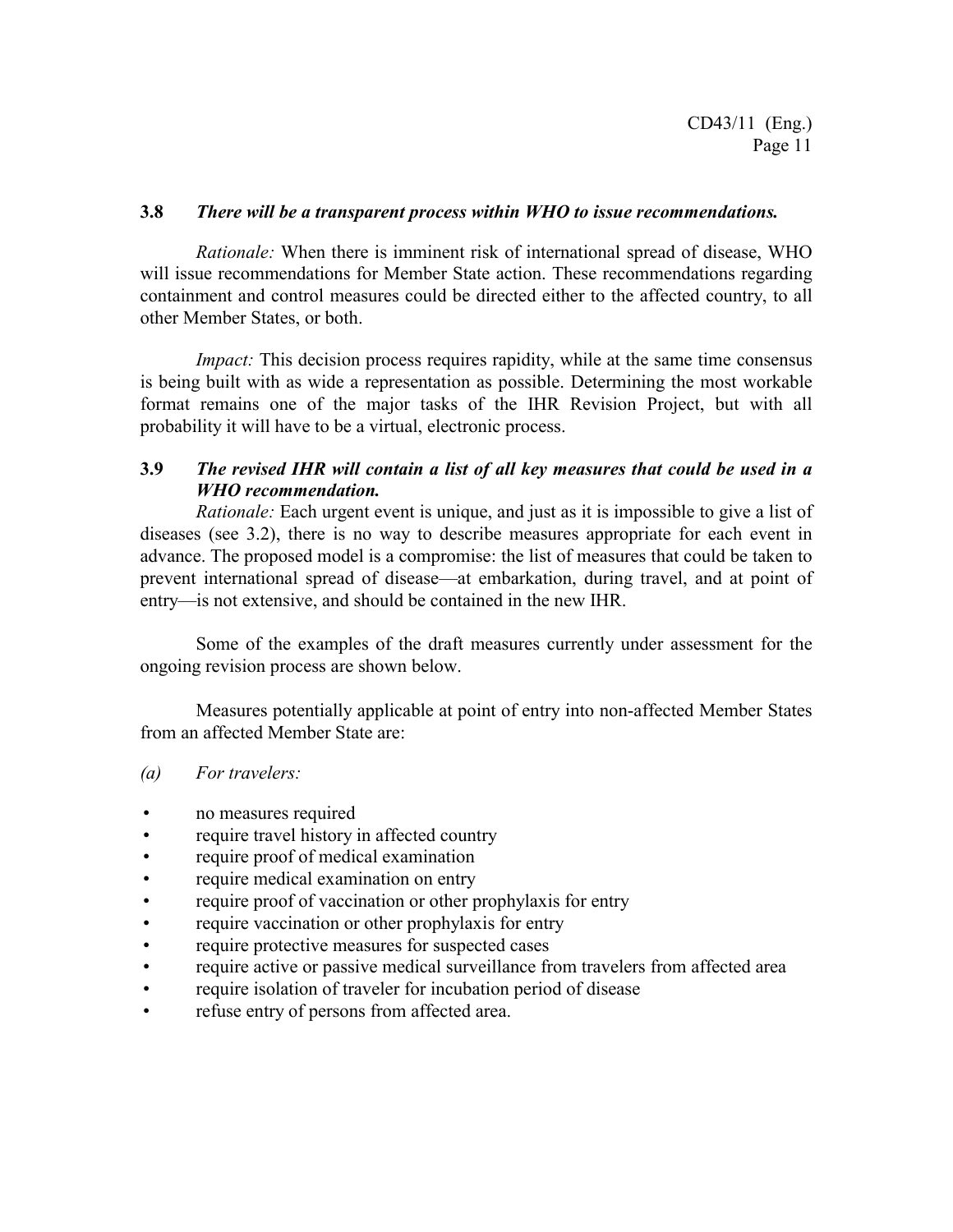#### **3.8** *There will be a transparent process within WHO to issue recommendations.*

*Rationale:* When there is imminent risk of international spread of disease, WHO will issue recommendations for Member State action. These recommendations regarding containment and control measures could be directed either to the affected country, to all other Member States, or both.

*Impact:* This decision process requires rapidity, while at the same time consensus is being built with as wide a representation as possible. Determining the most workable format remains one of the major tasks of the IHR Revision Project, but with all probability it will have to be a virtual, electronic process.

# **3.9** *The revised IHR will contain a list of all key measures that could be used in a WHO recommendation.*

*Rationale:* Each urgent event is unique, and just as it is impossible to give a list of diseases (see 3.2), there is no way to describe measures appropriate for each event in advance. The proposed model is a compromise: the list of measures that could be taken to prevent international spread of disease—at embarkation, during travel, and at point of entry—is not extensive, and should be contained in the new IHR.

Some of the examples of the draft measures currently under assessment for the ongoing revision process are shown below.

Measures potentially applicable at point of entry into non-affected Member States from an affected Member State are:

#### *(a) For travelers:*

- no measures required
- require travel history in affected country
- require proof of medical examination
- require medical examination on entry
- require proof of vaccination or other prophylaxis for entry
- require vaccination or other prophylaxis for entry
- require protective measures for suspected cases
- require active or passive medical surveillance from travelers from affected area
- require isolation of traveler for incubation period of disease
- refuse entry of persons from affected area.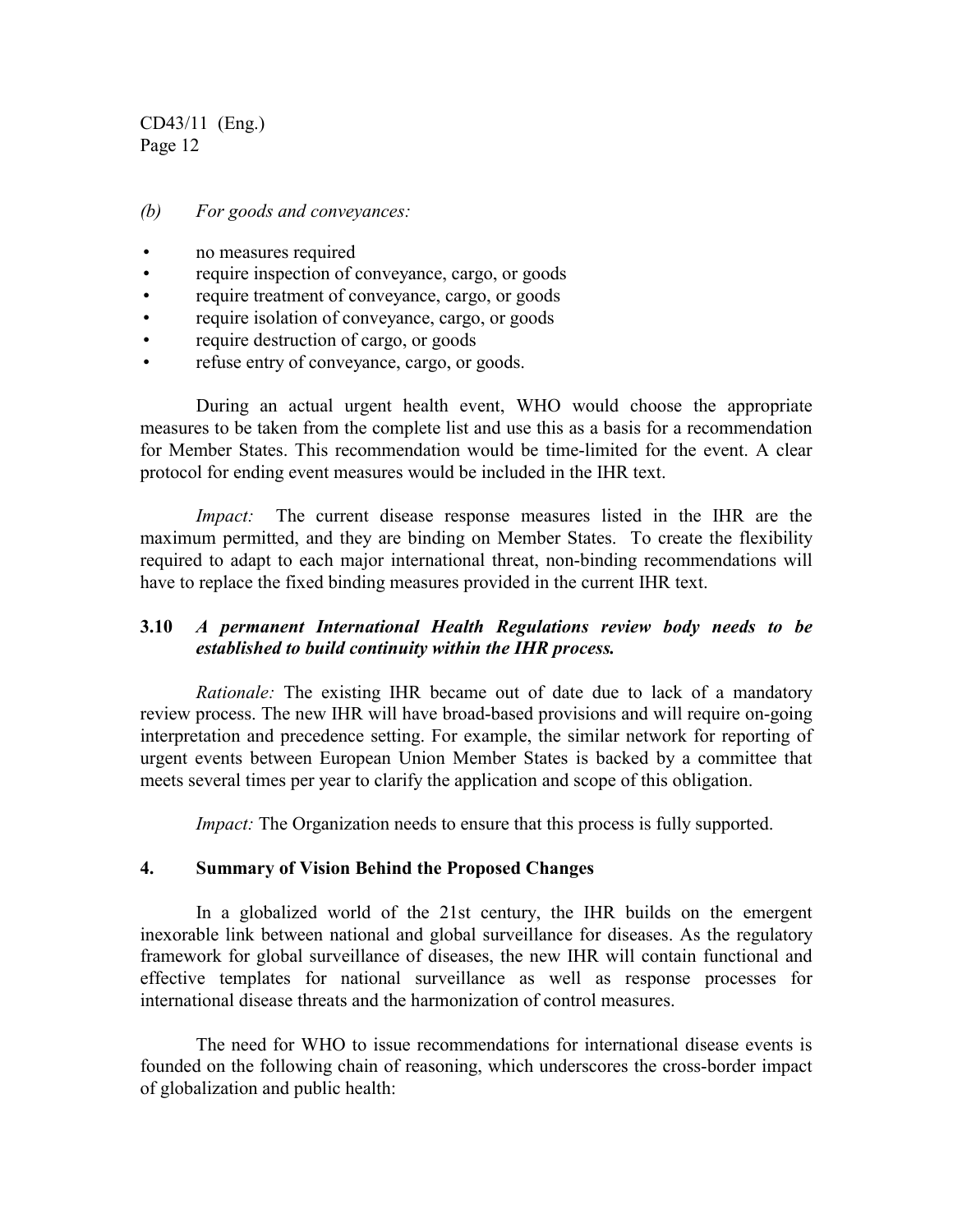#### *(b) For goods and conveyances:*

- no measures required
- require inspection of conveyance, cargo, or goods
- require treatment of conveyance, cargo, or goods
- require isolation of conveyance, cargo, or goods
- require destruction of cargo, or goods
- refuse entry of conveyance, cargo, or goods.

During an actual urgent health event, WHO would choose the appropriate measures to be taken from the complete list and use this as a basis for a recommendation for Member States. This recommendation would be time-limited for the event. A clear protocol for ending event measures would be included in the IHR text.

*Impact:* The current disease response measures listed in the IHR are the maximum permitted, and they are binding on Member States. To create the flexibility required to adapt to each major international threat, non-binding recommendations will have to replace the fixed binding measures provided in the current IHR text.

# **3.10** *A permanent International Health Regulations review body needs to be established to build continuity within the IHR process.*

*Rationale:* The existing IHR became out of date due to lack of a mandatory review process. The new IHR will have broad-based provisions and will require on-going interpretation and precedence setting. For example, the similar network for reporting of urgent events between European Union Member States is backed by a committee that meets several times per year to clarify the application and scope of this obligation.

*Impact:* The Organization needs to ensure that this process is fully supported.

### **4. Summary of Vision Behind the Proposed Changes**

In a globalized world of the 21st century, the IHR builds on the emergent inexorable link between national and global surveillance for diseases. As the regulatory framework for global surveillance of diseases, the new IHR will contain functional and effective templates for national surveillance as well as response processes for international disease threats and the harmonization of control measures.

The need for WHO to issue recommendations for international disease events is founded on the following chain of reasoning, which underscores the cross-border impact of globalization and public health: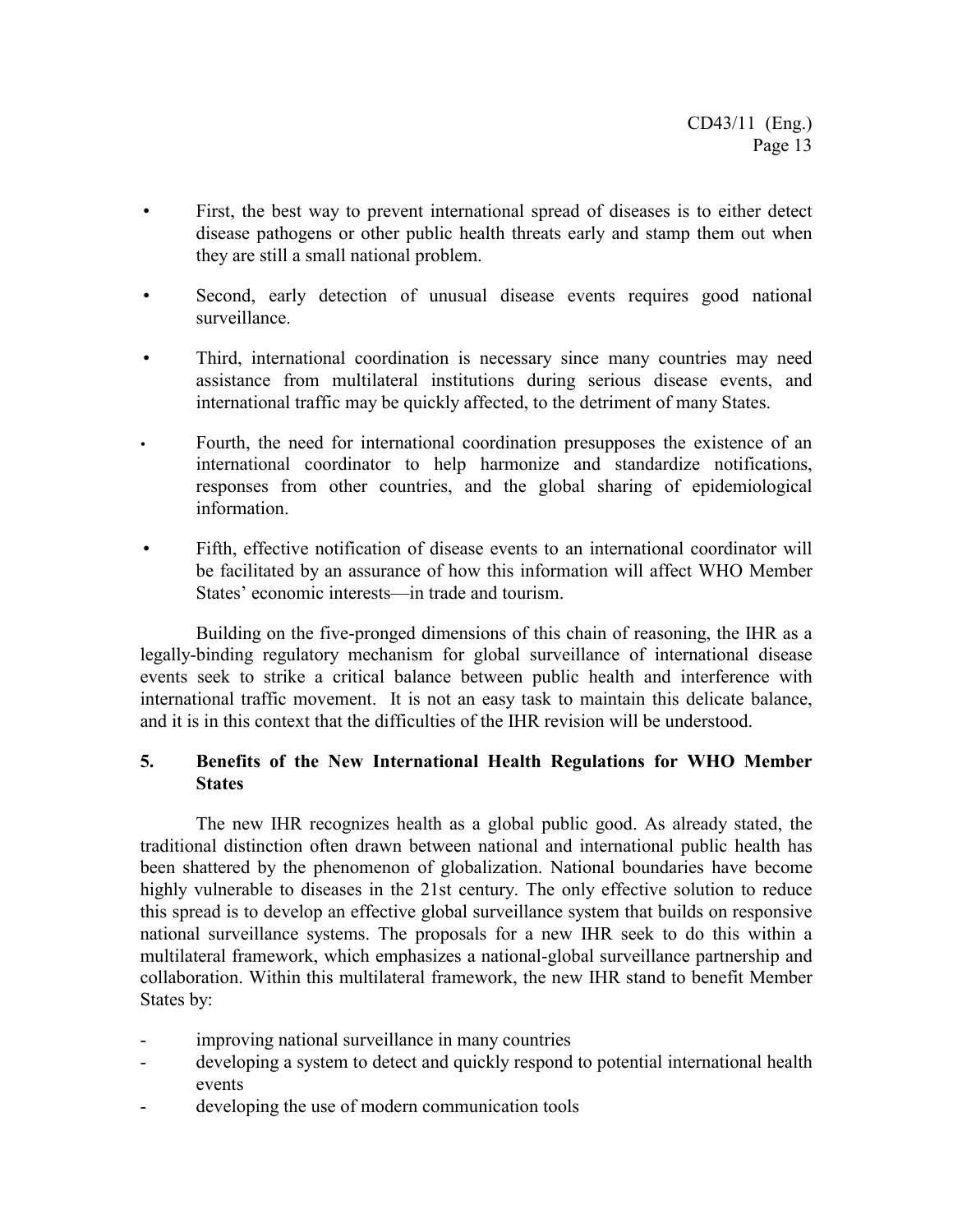- First, the best way to prevent international spread of diseases is to either detect disease pathogens or other public health threats early and stamp them out when they are still a small national problem.
- Second, early detection of unusual disease events requires good national surveillance.
- Third, international coordination is necessary since many countries may need assistance from multilateral institutions during serious disease events, and international traffic may be quickly affected, to the detriment of many States.
- Fourth, the need for international coordination presupposes the existence of an international coordinator to help harmonize and standardize notifications, responses from other countries, and the global sharing of epidemiological information.
- Fifth, effective notification of disease events to an international coordinator will be facilitated by an assurance of how this information will affect WHO Member States' economic interests—in trade and tourism.

Building on the five-pronged dimensions of this chain of reasoning, the IHR as a legally-binding regulatory mechanism for global surveillance of international disease events seek to strike a critical balance between public health and interference with international traffic movement. It is not an easy task to maintain this delicate balance, and it is in this context that the difficulties of the IHR revision will be understood.

# **5. Benefits of the New International Health Regulations for WHO Member States**

The new IHR recognizes health as a global public good. As already stated, the traditional distinction often drawn between national and international public health has been shattered by the phenomenon of globalization. National boundaries have become highly vulnerable to diseases in the 21st century. The only effective solution to reduce this spread is to develop an effective global surveillance system that builds on responsive national surveillance systems. The proposals for a new IHR seek to do this within a multilateral framework, which emphasizes a national-global surveillance partnership and collaboration. Within this multilateral framework, the new IHR stand to benefit Member States by:

- improving national surveillance in many countries
- developing a system to detect and quickly respond to potential international health events
- developing the use of modern communication tools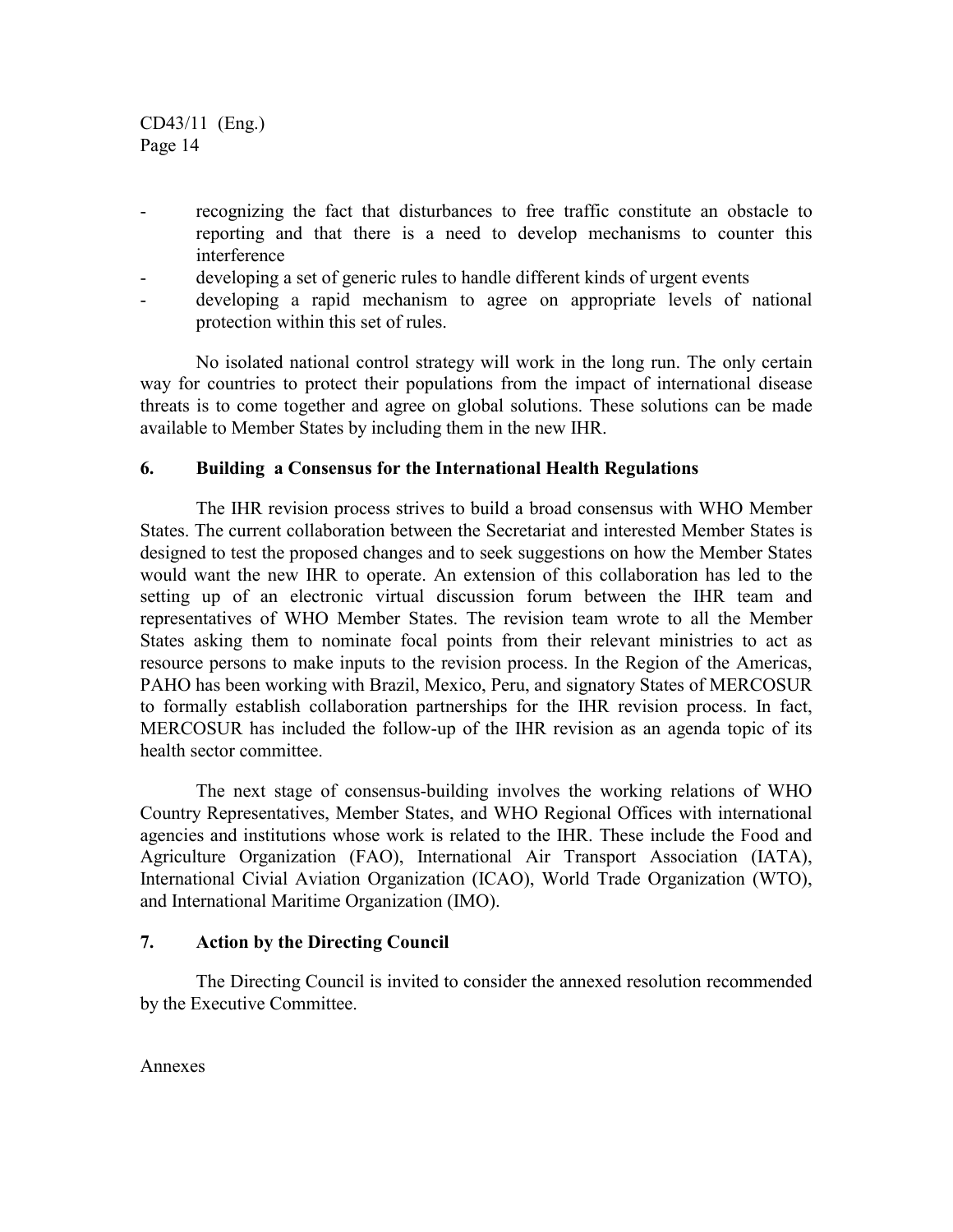- recognizing the fact that disturbances to free traffic constitute an obstacle to reporting and that there is a need to develop mechanisms to counter this interference
- developing a set of generic rules to handle different kinds of urgent events
- developing a rapid mechanism to agree on appropriate levels of national protection within this set of rules.

No isolated national control strategy will work in the long run. The only certain way for countries to protect their populations from the impact of international disease threats is to come together and agree on global solutions. These solutions can be made available to Member States by including them in the new IHR.

### **6. Building a Consensus for the International Health Regulations**

The IHR revision process strives to build a broad consensus with WHO Member States. The current collaboration between the Secretariat and interested Member States is designed to test the proposed changes and to seek suggestions on how the Member States would want the new IHR to operate. An extension of this collaboration has led to the setting up of an electronic virtual discussion forum between the IHR team and representatives of WHO Member States. The revision team wrote to all the Member States asking them to nominate focal points from their relevant ministries to act as resource persons to make inputs to the revision process. In the Region of the Americas, PAHO has been working with Brazil, Mexico, Peru, and signatory States of MERCOSUR to formally establish collaboration partnerships for the IHR revision process. In fact, MERCOSUR has included the follow-up of the IHR revision as an agenda topic of its health sector committee.

The next stage of consensus-building involves the working relations of WHO Country Representatives, Member States, and WHO Regional Offices with international agencies and institutions whose work is related to the IHR. These include the Food and Agriculture Organization (FAO), International Air Transport Association (IATA), International Civial Aviation Organization (ICAO), World Trade Organization (WTO), and International Maritime Organization (IMO).

### **7. Action by the Directing Council**

The Directing Council is invited to consider the annexed resolution recommended by the Executive Committee.

Annexes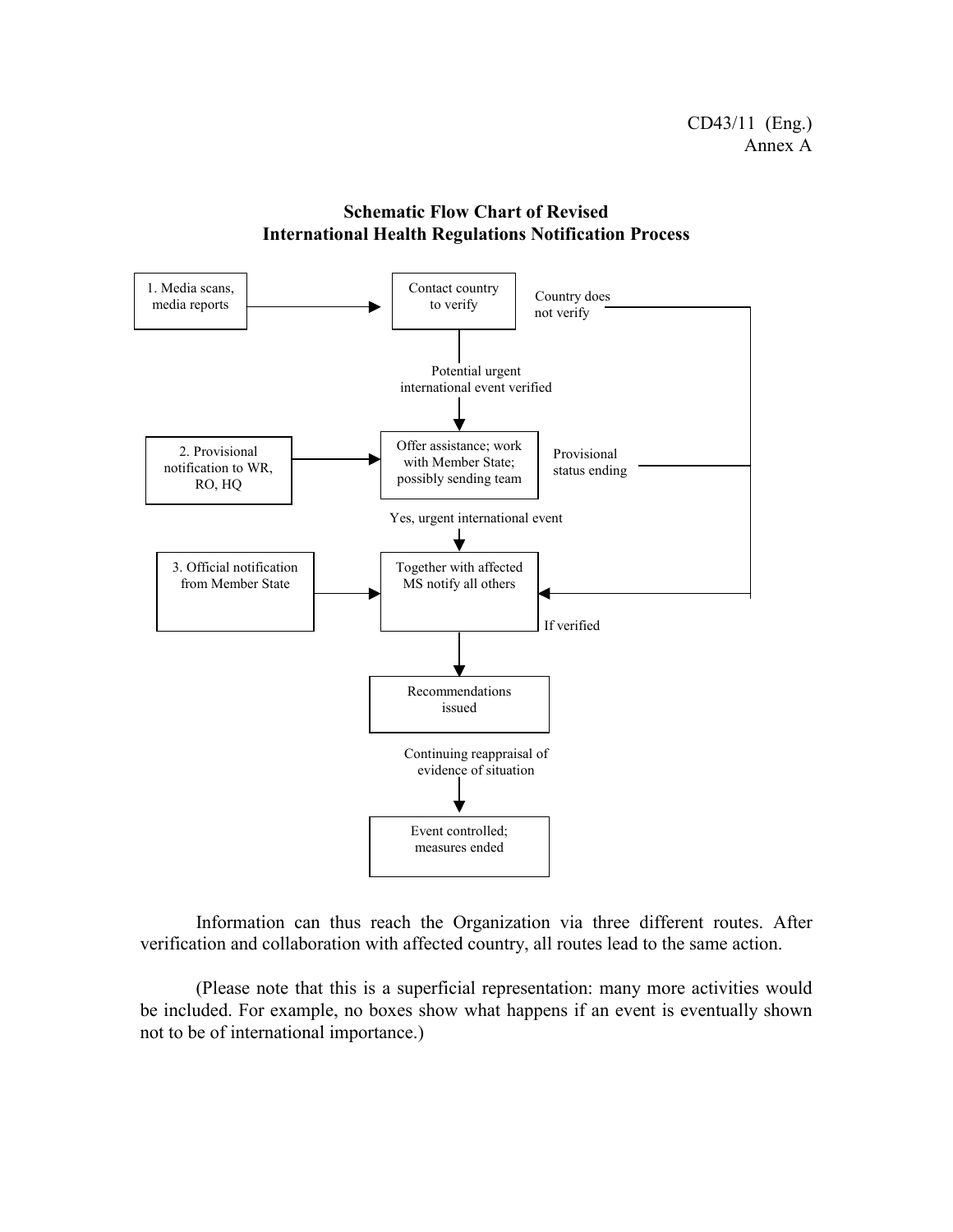

**Schematic Flow Chart of Revised International Health Regulations Notification Process**

Information can thus reach the Organization via three different routes. After verification and collaboration with affected country, all routes lead to the same action.

(Please note that this is a superficial representation: many more activities would be included. For example, no boxes show what happens if an event is eventually shown not to be of international importance.)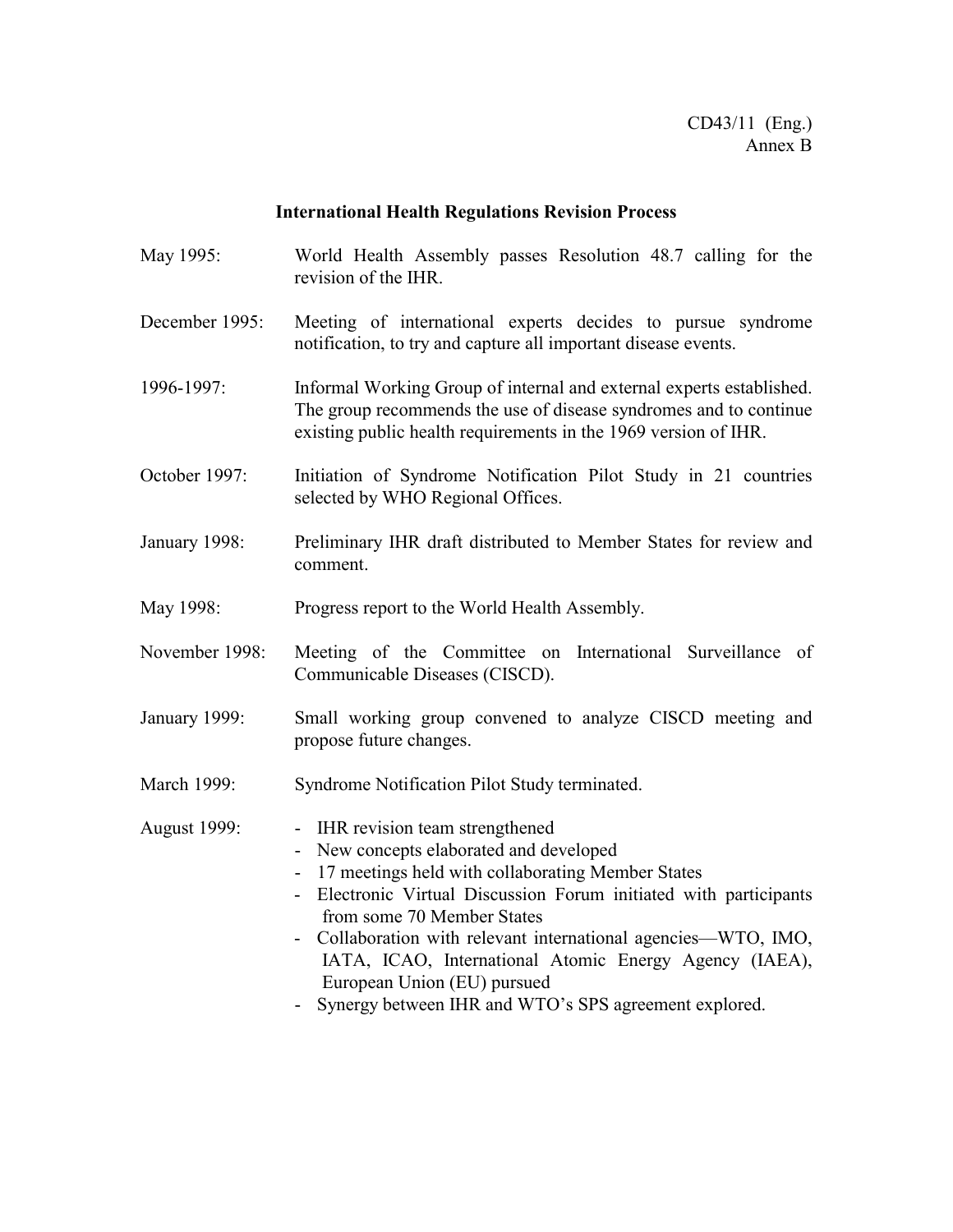#### **International Health Regulations Revision Process**

- May 1995: World Health Assembly passes Resolution 48.7 calling for the revision of the IHR.
- December 1995: Meeting of international experts decides to pursue syndrome notification, to try and capture all important disease events.
- 1996-1997: Informal Working Group of internal and external experts established. The group recommends the use of disease syndromes and to continue existing public health requirements in the 1969 version of IHR.
- October 1997: Initiation of Syndrome Notification Pilot Study in 21 countries selected by WHO Regional Offices.
- January 1998: Preliminary IHR draft distributed to Member States for review and comment.
- May 1998: Progress report to the World Health Assembly.
- November 1998: Meeting of the Committee on International Surveillance of Communicable Diseases (CISCD).
- January 1999: Small working group convened to analyze CISCD meeting and propose future changes.
- March 1999: Syndrome Notification Pilot Study terminated.
- August 1999: IHR revision team strengthened
	- New concepts elaborated and developed
	- 17 meetings held with collaborating Member States
	- Electronic Virtual Discussion Forum initiated with participants from some 70 Member States
	- Collaboration with relevant international agencies—WTO, IMO, IATA, ICAO, International Atomic Energy Agency (IAEA), European Union (EU) pursued
	- Synergy between IHR and WTO's SPS agreement explored.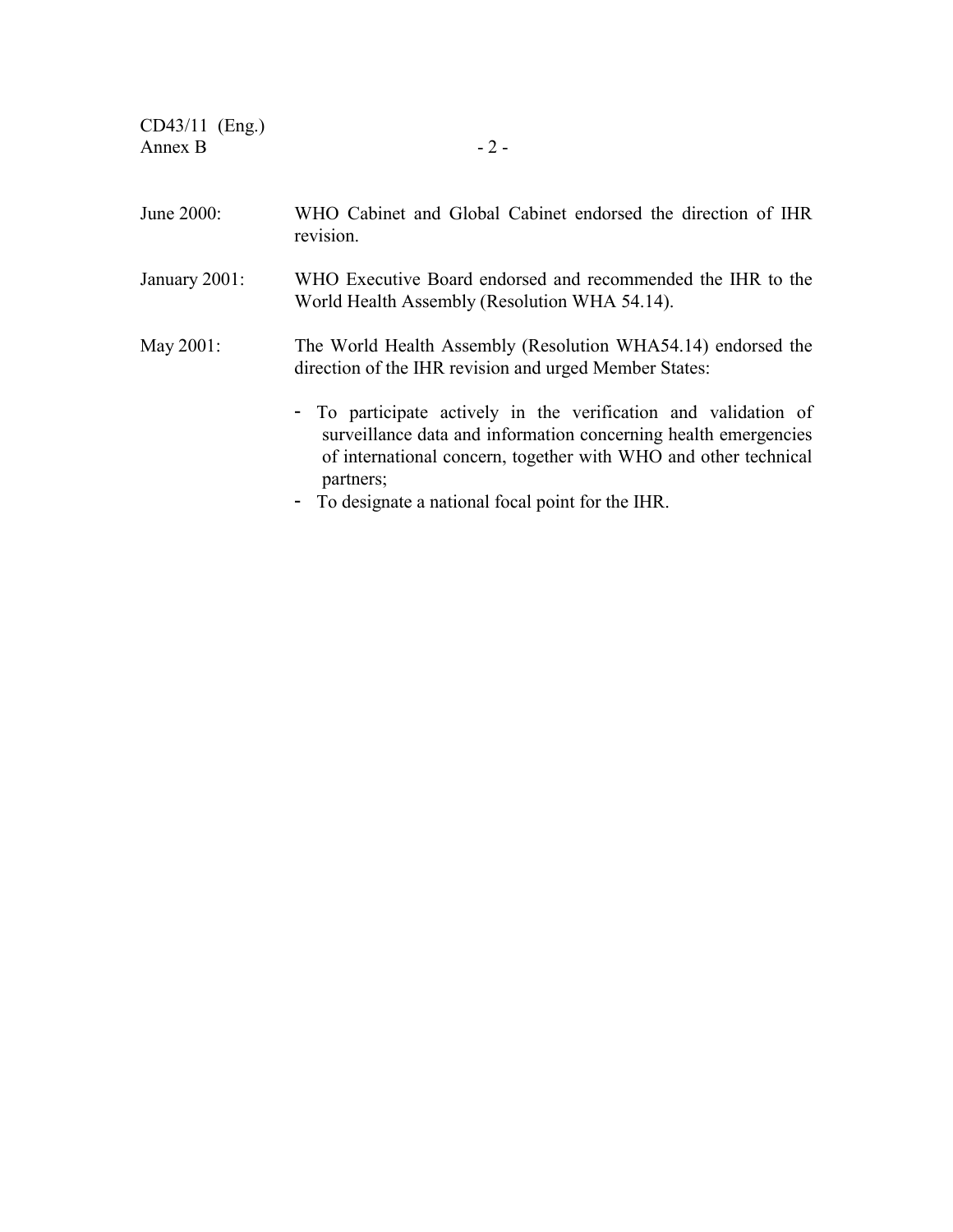| WHO Cabinet and Global Cabinet endorsed the direction of IHR<br>revision.                                                                                                                                                                                                |
|--------------------------------------------------------------------------------------------------------------------------------------------------------------------------------------------------------------------------------------------------------------------------|
| WHO Executive Board endorsed and recommended the IHR to the<br>World Health Assembly (Resolution WHA 54.14).                                                                                                                                                             |
| The World Health Assembly (Resolution WHA54.14) endorsed the<br>direction of the IHR revision and urged Member States:                                                                                                                                                   |
| - To participate actively in the verification and validation of<br>surveillance data and information concerning health emergencies<br>of international concern, together with WHO and other technical<br>partners;<br>- To designate a national focal point for the IHR. |
|                                                                                                                                                                                                                                                                          |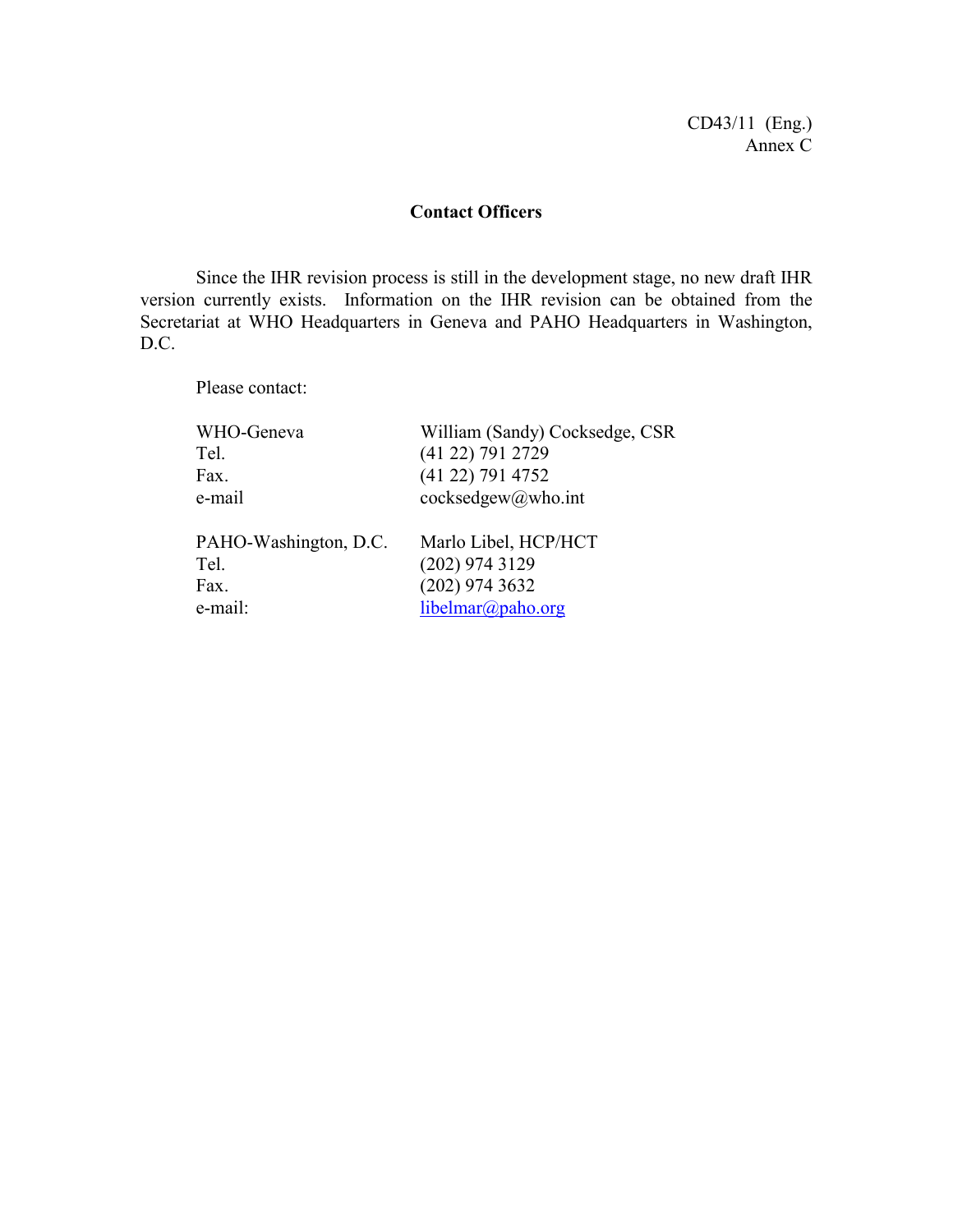CD43/11 (Eng.) Annex C

# **Contact Officers**

Since the IHR revision process is still in the development stage, no new draft IHR version currently exists. Information on the IHR revision can be obtained from the Secretariat at WHO Headquarters in Geneva and PAHO Headquarters in Washington, D.C.

Please contact:

| WHO-Geneva            | William (Sandy) Cocksedge, CSR |
|-----------------------|--------------------------------|
| Tel.                  | (41 22) 791 2729               |
| Fax.                  | (41 22) 791 4752               |
| e-mail                | cocksedgew@who.int             |
| PAHO-Washington, D.C. | Marlo Libel, HCP/HCT           |
| Tel.                  | $(202)$ 974 3129               |
| Fax.                  | $(202)$ 974 3632               |
| e-mail:               | libelmar@paho.org              |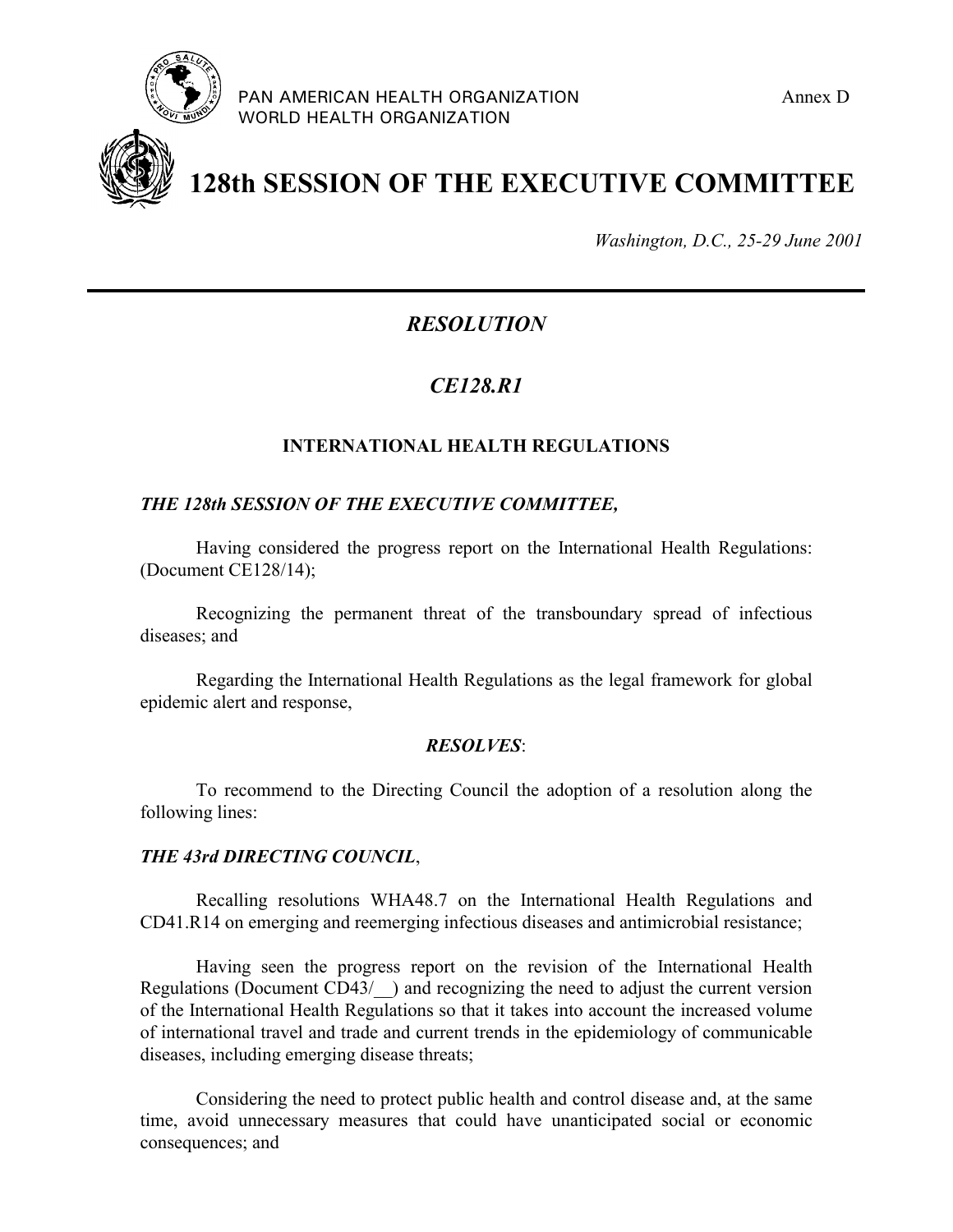



**128th SESSION OF THE EXECUTIVE COMMITTEE**

*Washington, D.C., 25-29 June 2001*

# *RESOLUTION*

# *CE128.R1*

# **INTERNATIONAL HEALTH REGULATIONS**

### *THE 128th SESSION OF THE EXECUTIVE COMMITTEE,*

Having considered the progress report on the International Health Regulations: (Document CE128/14);

Recognizing the permanent threat of the transboundary spread of infectious diseases; and

Regarding the International Health Regulations as the legal framework for global epidemic alert and response,

#### *RESOLVES*:

To recommend to the Directing Council the adoption of a resolution along the following lines:

#### *THE 43rd DIRECTING COUNCIL*,

Recalling resolutions WHA48.7 on the International Health Regulations and CD41.R14 on emerging and reemerging infectious diseases and antimicrobial resistance;

Having seen the progress report on the revision of the International Health Regulations (Document CD43/) and recognizing the need to adjust the current version of the International Health Regulations so that it takes into account the increased volume of international travel and trade and current trends in the epidemiology of communicable diseases, including emerging disease threats;

Considering the need to protect public health and control disease and, at the same time, avoid unnecessary measures that could have unanticipated social or economic consequences; and